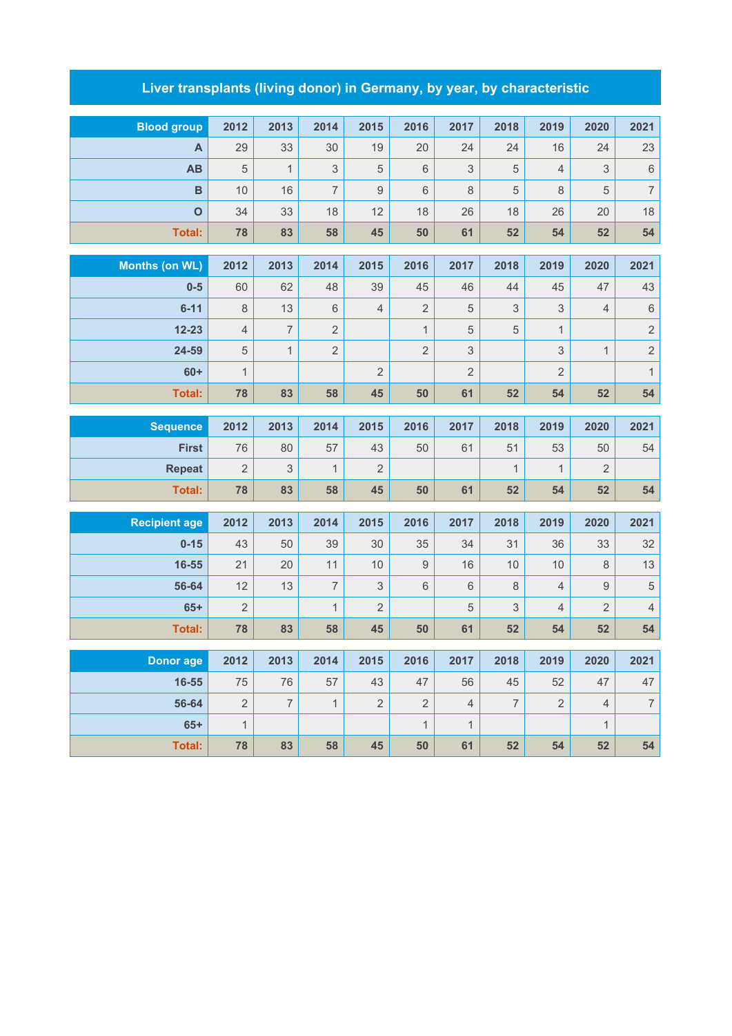## **Liver transplants (living donor) in Germany, by year, by characteristic**

| <b>Blood group</b>    | 2012           | 2013           | 2014           | 2015           | 2016           | 2017            | 2018           | 2019           | 2020           | 2021           |  |  |
|-----------------------|----------------|----------------|----------------|----------------|----------------|-----------------|----------------|----------------|----------------|----------------|--|--|
| A                     | 29             | 33             | 30             | 19             | 20             | 24              | 24             | 16             | 24             | 23             |  |  |
| <b>AB</b>             | 5              | $\mathbf{1}$   | 3              | 5              | 6              | 3               | 5              | $\overline{4}$ | 3              | $\,$ 6 $\,$    |  |  |
| B                     | 10             | 16             | $\overline{7}$ | $\mathsf g$    | 6              | 8               | 5              | $\,8\,$        | 5              | $\overline{7}$ |  |  |
| $\overline{O}$        | 34             | 33             | 18             | 12             | 18             | 26              | 18             | 26             | 20             | 18             |  |  |
| <b>Total:</b>         | 78             | 83             | 58             | 45             | 50             | 61              | 52             | 54             | 52             | 54             |  |  |
|                       |                |                |                |                |                |                 |                |                |                |                |  |  |
| <b>Months (on WL)</b> | 2012           | 2013           | 2014           | 2015           | 2016           | 2017            | 2018           | 2019           | 2020           | 2021           |  |  |
| $0-5$                 | 60             | 62             | 48             | 39             | 45             | 46              | 44             | 45             | 47             | 43             |  |  |
| $6 - 11$              | 8              | 13             | 6              | $\overline{4}$ | $\overline{2}$ | 5               | $\sqrt{3}$     | $\mathfrak{S}$ | 4              | $\,$ 6 $\,$    |  |  |
| $12 - 23$             | $\overline{4}$ | $\overline{7}$ | $\overline{2}$ |                | $\mathbf{1}$   | 5               | $\sqrt{5}$     | $\mathbf{1}$   |                | $\overline{c}$ |  |  |
| 24-59                 | 5              | $\mathbf{1}$   | $\overline{2}$ |                | $\overline{2}$ | $\mathsf 3$     |                | 3              | $\mathbf{1}$   | $\overline{c}$ |  |  |
| $60+$                 | $\mathbf{1}$   |                |                | $\overline{2}$ |                | $\overline{2}$  |                | $\overline{2}$ |                | $\mathbf{1}$   |  |  |
| <b>Total:</b>         | 78             | 83             | 58             | 45             | 50             | 61              | 52             | 54             | 52             | 54             |  |  |
| <b>Sequence</b>       | 2012           | 2013           | 2014           | 2015           | 2016           | 2017            | 2018           | 2019           | 2020           | 2021           |  |  |
| <b>First</b>          | 76             | 80             | 57             | 43             | 50             | 61              | 51             | 53             | 50             | 54             |  |  |
| <b>Repeat</b>         | $\overline{2}$ | $\mathsf 3$    | $\mathbf{1}$   | $\overline{2}$ |                |                 | $\mathbf{1}$   | $\mathbf{1}$   | $\overline{2}$ |                |  |  |
| <b>Total:</b>         | 78             | 83             | 58             | 45             | 50             | 61              | 52             | 54             | 52             | 54             |  |  |
|                       |                |                |                |                |                |                 |                |                |                |                |  |  |
| <b>Recipient age</b>  | 2012           | 2013           | 2014           | 2015           | 2016           | 2017            | 2018           | 2019           | 2020           | 2021           |  |  |
| $0 - 15$              | 43             | 50             | 39             | 30             | 35             | 34              | 31             | 36             | 33             | 32             |  |  |
| 16-55                 | 21             | 20             | 11             | 10             | $\mathsf g$    | 16              | 10             | 10             | 8              | 13             |  |  |
| 56-64                 | 12             | 13             | $\overline{7}$ | 3              | $\,6\,$        | $6\phantom{1}6$ | $\,8\,$        | $\overline{4}$ | 9              | $\overline{5}$ |  |  |
| $65+$                 | $\overline{2}$ |                | $\mathbf{1}$   | $\overline{2}$ |                | 5               | 3              | $\overline{4}$ | $\overline{2}$ | $\overline{4}$ |  |  |
| <b>Total:</b>         | 78             | 83             | 58             | 45             | 50             | 61              | 52             | 54             | 52             | 54             |  |  |
| <b>Donor age</b>      | 2012           | 2013           | 2014           | 2015           | 2016           | 2017            | 2018           | 2019           | 2020           | 2021           |  |  |
| 16-55                 | 75             | 76             | 57             | 43             | 47             | 56              | 45             | 52             | 47             | 47             |  |  |
| 56-64                 | $\overline{2}$ | $\overline{7}$ | $\mathbf{1}$   | $\overline{2}$ | $\overline{2}$ | $\overline{4}$  | $\overline{7}$ | $\overline{2}$ | $\overline{4}$ | $\overline{7}$ |  |  |
|                       |                |                |                |                |                |                 |                |                |                |                |  |  |
| $65+$                 | $\mathbf{1}$   |                |                |                | $\mathbf{1}$   | 1               |                |                | $\mathbf{1}$   |                |  |  |